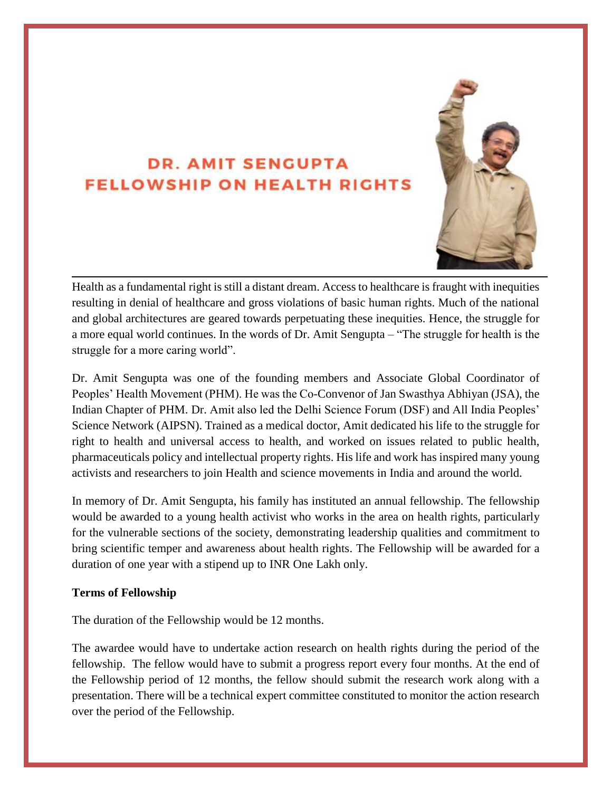# **DR. AMIT SENGUPTA FELLOWSHIP ON HEALTH RIGHTS**



Health as a fundamental right is still a distant dream. Access to healthcare is fraught with inequities resulting in denial of healthcare and gross violations of basic human rights. Much of the national and global architectures are geared towards perpetuating these inequities. Hence, the struggle for a more equal world continues. In the words of Dr. Amit Sengupta – "The struggle for health is the struggle for a more caring world".

Dr. Amit Sengupta was one of the founding members and Associate Global Coordinator of Peoples' Health Movement (PHM). He was the Co-Convenor of Jan Swasthya Abhiyan (JSA), the Indian Chapter of PHM. Dr. Amit also led the Delhi Science Forum (DSF) and All India Peoples' Science Network (AIPSN). Trained as a medical doctor, Amit dedicated his life to the struggle for right to health and universal access to health, and worked on issues related to public health, pharmaceuticals policy and intellectual property rights. His life and work has inspired many young activists and researchers to join Health and science movements in India and around the world.

In memory of Dr. Amit Sengupta, his family has instituted an annual fellowship. The fellowship would be awarded to a young health activist who works in the area on health rights, particularly for the vulnerable sections of the society, demonstrating leadership qualities and commitment to bring scientific temper and awareness about health rights. The Fellowship will be awarded for a duration of one year with a stipend up to INR One Lakh only.

#### **Terms of Fellowship**

The duration of the Fellowship would be 12 months.

The awardee would have to undertake action research on health rights during the period of the fellowship. The fellow would have to submit a progress report every four months. At the end of the Fellowship period of 12 months, the fellow should submit the research work along with a presentation. There will be a technical expert committee constituted to monitor the action research over the period of the Fellowship.